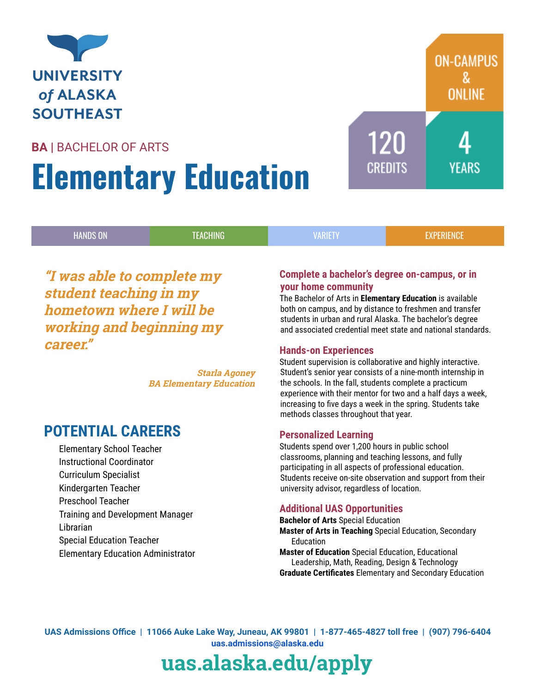

### BA | BACHELOR OF ARTS

# Elementary Education

| 'HANDS ON, | <b>PHING</b> | <b>VARIETY</b> | radiados |
|------------|--------------|----------------|----------|
|            |              |                |          |

"I was able to complete my student teaching in my hometown where I will be working and beginning my career."

> Starla Agoney BA Elementary Education

### POTENTIAL CAREERS

Elementary School Teacher Instructional Coordinator Curriculum Specialist Kindergarten Teacher Preschool Teacher Training and Development Manager Librarian Special Education Teacher Elementary Education Administrator

### Complete a bachelor's degree on-campus, or in your home community

The Bachelor of Arts in Elementary Education is available both on campus, and by distance to freshmen and transfer students in urban and rural Alaska. The bachelor's degree and associated credential meet state and national standards.

120

CREDITS

**ON-CAMPUS** 

**ONLINE** 

YFARS

### Hands-on Experiences

Student supervision is collaborative and highly interactive. Student's senior year consists of a nine-month internship in the schools. In the fall, students complete a practicum experience with their mentor for two and a half days a week, increasing to five days a week in the spring. Students take methods classes throughout that year.

### Personalized Learning

Students spend over 1,200 hours in public school classrooms, planning and teaching lessons, and fully participating in all aspects of professional education. Students receive on-site observation and support from their university advisor, regardless of location.

### Additional UAS Opportunities

Bachelor of Arts Special Education Master of Arts in Teaching Special Education, Secondary Education Master of Education Special Education, Educational Leadership, Math, Reading, Design & Technology Graduate Certificates Elementary and Secondary Education

UAS Admissions Office | 11066 Auke Lake Way, Juneau, AK 99801 | 1-877-465-4827 toll free | (907) 796-6404 [uas.admissions@alaska.edu](mailto:admissions@uas.alaska.edu)

## uas.alaska.edu/apply